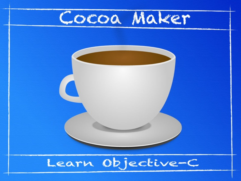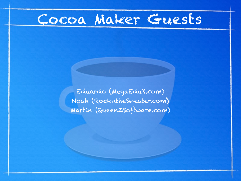## Cocoa Maker Guests

Eduardo (MegaEduX.com) Noah (RockntheSweater.com) Martin (QueenZSoftware.com)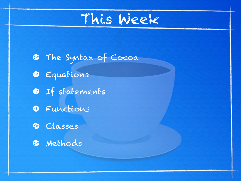## This Week

- The Syntax of Cocoa
- Equations
- **O** If statements
- **O** Functions
- **C** Classes
- **O** Methods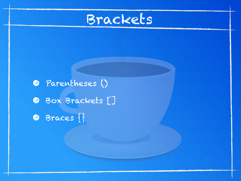

**•** Parentheses () **• Box Brackets []** • Braces {}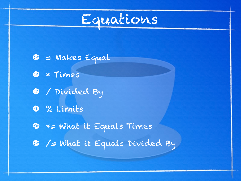

- $\bullet$  = Makes Equal
- \* Times
- / Divided By
- % Limits
- \*= What it Equals Times
- /= What it Equals Divided By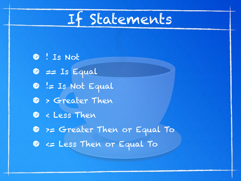

• ! Is Not  $\bullet$  == Is Equal  $\bullet$  != Is Not Equal **C** > Greater Then • < Less Then • >= Greater Then or Equal To  $\bullet$  <= Less Then or Equal To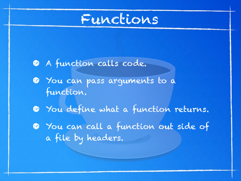

- A function calls code.
- You can pass arguments to a function.
- $\bullet$  You define what a function returns.
- $\bullet$  You can call a function out side of a file by headers.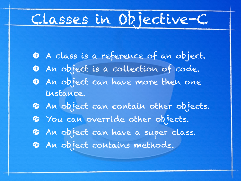## Classes in Objective-C

- A class is a reference of an object.
- **•** An object is a collection of code.
- An object can have more then one instance.
- **An object can contain other objects.**
- $\bullet$  You can override other objects.
- An object can have a super class.
- **An object contains methods.**